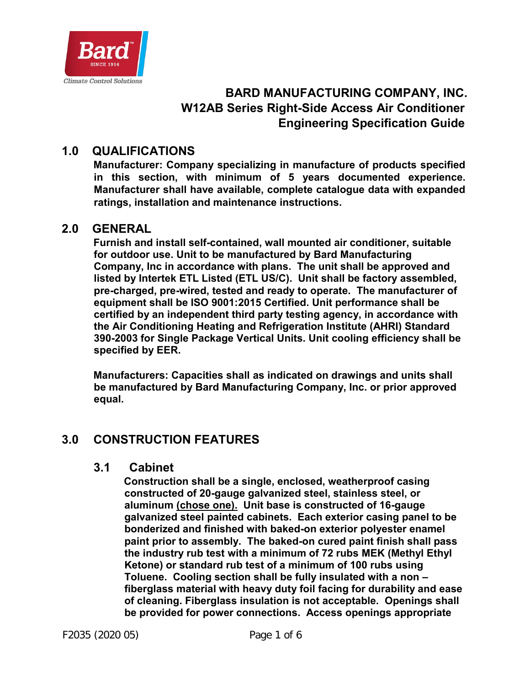

# **BARD MANUFACTURING COMPANY, INC. W12AB Series Right-Side Access Air Conditioner Engineering Specification Guide**

## **1.0 QUALIFICATIONS**

**Manufacturer: Company specializing in manufacture of products specified in this section, with minimum of 5 years documented experience. Manufacturer shall have available, complete catalogue data with expanded ratings, installation and maintenance instructions.** 

#### **2.0 GENERAL**

**Furnish and install self-contained, wall mounted air conditioner, suitable for outdoor use. Unit to be manufactured by Bard Manufacturing Company, Inc in accordance with plans. The unit shall be approved and listed by Intertek ETL Listed (ETL US/C). Unit shall be factory assembled, pre-charged, pre-wired, tested and ready to operate. The manufacturer of equipment shall be ISO 9001:2015 Certified. Unit performance shall be certified by an independent third party testing agency, in accordance with the Air Conditioning Heating and Refrigeration Institute (AHRI) Standard 390-2003 for Single Package Vertical Units. Unit cooling efficiency shall be specified by EER.** 

**Manufacturers: Capacities shall as indicated on drawings and units shall be manufactured by Bard Manufacturing Company, Inc. or prior approved equal.** 

## **3.0 CONSTRUCTION FEATURES**

#### **3.1 Cabinet**

**Construction shall be a single, enclosed, weatherproof casing constructed of 20-gauge galvanized steel, stainless steel, or aluminum (chose one). Unit base is constructed of 16-gauge galvanized steel painted cabinets. Each exterior casing panel to be bonderized and finished with baked-on exterior polyester enamel paint prior to assembly. The baked-on cured paint finish shall pass the industry rub test with a minimum of 72 rubs MEK (Methyl Ethyl Ketone) or standard rub test of a minimum of 100 rubs using Toluene. Cooling section shall be fully insulated with a non – fiberglass material with heavy duty foil facing for durability and ease of cleaning. Fiberglass insulation is not acceptable. Openings shall be provided for power connections. Access openings appropriate**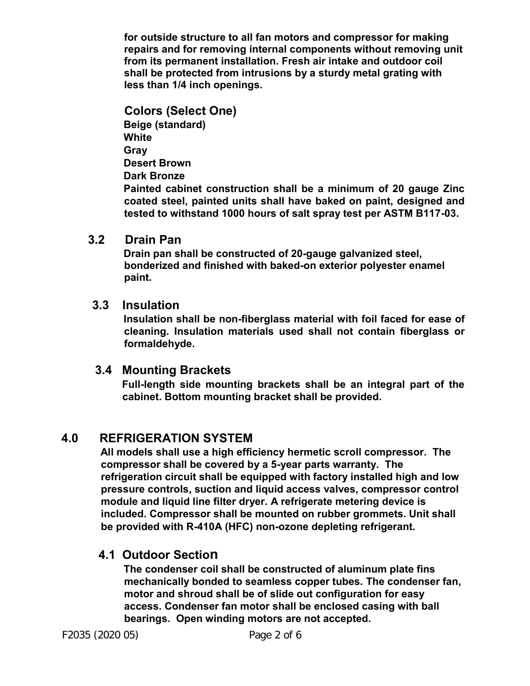**for outside structure to all fan motors and compressor for making repairs and for removing internal components without removing unit from its permanent installation. Fresh air intake and outdoor coil shall be protected from intrusions by a sturdy metal grating with less than 1/4 inch openings.** 

**Colors (Select One) Beige (standard) White Gray Desert Brown Dark Bronze Painted cabinet construction shall be a minimum of 20 gauge Zinc coated steel, painted units shall have baked on paint, designed and tested to withstand 1000 hours of salt spray test per ASTM B117-03.**

#### **3.2 Drain Pan**

**Drain pan shall be constructed of 20-gauge galvanized steel, bonderized and finished with baked-on exterior polyester enamel paint.** 

#### **3.3 Insulation**

**Insulation shall be non-fiberglass material with foil faced for ease of cleaning. Insulation materials used shall not contain fiberglass or formaldehyde.** 

#### **3.4 Mounting Brackets**

 **Full-length side mounting brackets shall be an integral part of the cabinet. Bottom mounting bracket shall be provided.** 

## **4.0 REFRIGERATION SYSTEM**

**All models shall use a high efficiency hermetic scroll compressor. The compressor shall be covered by a 5-year parts warranty. The refrigeration circuit shall be equipped with factory installed high and low pressure controls, suction and liquid access valves, compressor control module and liquid line filter dryer. A refrigerate metering device is included. Compressor shall be mounted on rubber grommets. Unit shall be provided with R-410A (HFC) non-ozone depleting refrigerant.** 

## **4.1 Outdoor Section**

**The condenser coil shall be constructed of aluminum plate fins mechanically bonded to seamless copper tubes. The condenser fan, motor and shroud shall be of slide out configuration for easy access. Condenser fan motor shall be enclosed casing with ball bearings. Open winding motors are not accepted.**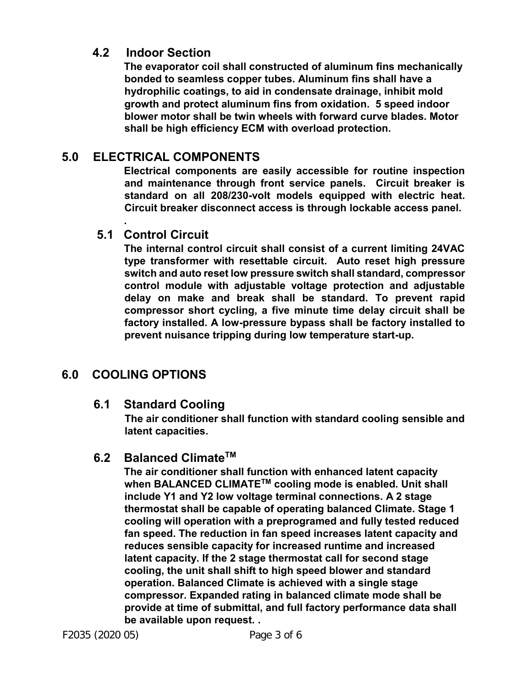#### **4.2 Indoor Section**

**The evaporator coil shall constructed of aluminum fins mechanically bonded to seamless copper tubes. Aluminum fins shall have a hydrophilic coatings, to aid in condensate drainage, inhibit mold growth and protect aluminum fins from oxidation. 5 speed indoor blower motor shall be twin wheels with forward curve blades. Motor shall be high efficiency ECM with overload protection.** 

# **5.0 ELECTRICAL COMPONENTS**

**Electrical components are easily accessible for routine inspection and maintenance through front service panels. Circuit breaker is standard on all 208/230-volt models equipped with electric heat. Circuit breaker disconnect access is through lockable access panel.** 

## **5.1 Control Circuit**

**.** 

**The internal control circuit shall consist of a current limiting 24VAC type transformer with resettable circuit. Auto reset high pressure switch and auto reset low pressure switch shall standard, compressor control module with adjustable voltage protection and adjustable delay on make and break shall be standard. To prevent rapid compressor short cycling, a five minute time delay circuit shall be factory installed. A low-pressure bypass shall be factory installed to prevent nuisance tripping during low temperature start-up.** 

# **6.0 COOLING OPTIONS**

## **6.1 Standard Cooling**

**The air conditioner shall function with standard cooling sensible and latent capacities.** 

## **6.2 Balanced ClimateTM**

**The air conditioner shall function with enhanced latent capacity when BALANCED CLIMATETM cooling mode is enabled. Unit shall include Y1 and Y2 low voltage terminal connections. A 2 stage thermostat shall be capable of operating balanced Climate. Stage 1 cooling will operation with a preprogramed and fully tested reduced fan speed. The reduction in fan speed increases latent capacity and reduces sensible capacity for increased runtime and increased latent capacity. If the 2 stage thermostat call for second stage cooling, the unit shall shift to high speed blower and standard operation. Balanced Climate is achieved with a single stage compressor. Expanded rating in balanced climate mode shall be provide at time of submittal, and full factory performance data shall be available upon request. .**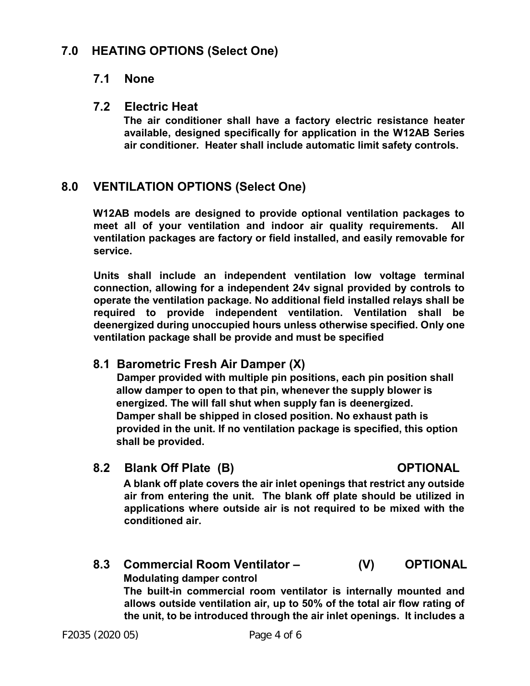## **7.0 HEATING OPTIONS (Select One)**

#### **7.1 None**

#### **7.2 Electric Heat**

**The air conditioner shall have a factory electric resistance heater available, designed specifically for application in the W12AB Series air conditioner. Heater shall include automatic limit safety controls.** 

## **8.0 VENTILATION OPTIONS (Select One)**

**W12AB models are designed to provide optional ventilation packages to meet all of your ventilation and indoor air quality requirements. All ventilation packages are factory or field installed, and easily removable for service.** 

**Units shall include an independent ventilation low voltage terminal connection, allowing for a independent 24v signal provided by controls to operate the ventilation package. No additional field installed relays shall be required to provide independent ventilation. Ventilation shall be deenergized during unoccupied hours unless otherwise specified. Only one ventilation package shall be provide and must be specified** 

## **8.1 Barometric Fresh Air Damper (X)**

 **Damper provided with multiple pin positions, each pin position shall allow damper to open to that pin, whenever the supply blower is energized. The will fall shut when supply fan is deenergized. Damper shall be shipped in closed position. No exhaust path is provided in the unit. If no ventilation package is specified, this option shall be provided.** 

 **8.2 Blank Off Plate (B) OPTIONAL**

**A blank off plate covers the air inlet openings that restrict any outside air from entering the unit. The blank off plate should be utilized in applications where outside air is not required to be mixed with the conditioned air.** 

# **8.3 Commercial Room Ventilator – (V) OPTIONAL Modulating damper control The built-in commercial room ventilator is internally mounted and**

**allows outside ventilation air, up to 50% of the total air flow rating of the unit, to be introduced through the air inlet openings. It includes a**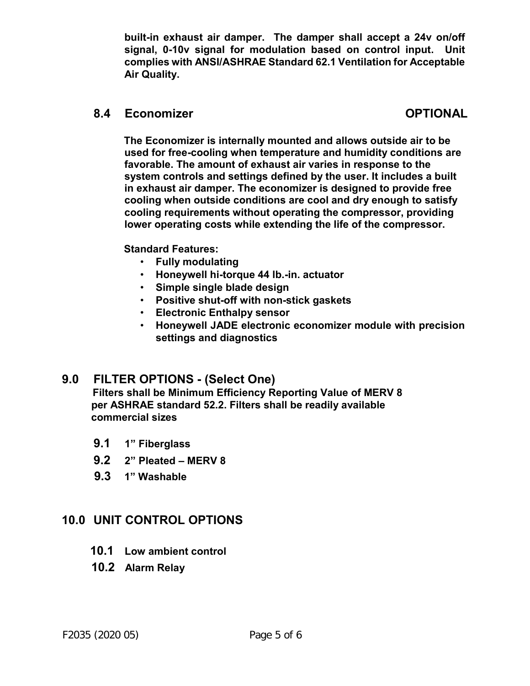**built-in exhaust air damper. The damper shall accept a 24v on/off signal, 0-10v signal for modulation based on control input. Unit complies with ANSI/ASHRAE Standard 62.1 Ventilation for Acceptable Air Quality.** 

#### **8.4 Economizer OPTIONAL**

**The Economizer is internally mounted and allows outside air to be used for free-cooling when temperature and humidity conditions are favorable. The amount of exhaust air varies in response to the system controls and settings defined by the user. It includes a built in exhaust air damper. The economizer is designed to provide free cooling when outside conditions are cool and dry enough to satisfy cooling requirements without operating the compressor, providing lower operating costs while extending the life of the compressor.** 

#### **Standard Features:**

- **Fully modulating**
- **Honeywell hi-torque 44 lb.-in. actuator**
- **Simple single blade design**
- **Positive shut-off with non-stick gaskets**
- **Electronic Enthalpy sensor**
- **Honeywell JADE electronic economizer module with precision settings and diagnostics**

## **9.0 FILTER OPTIONS - (Select One)**

 **Filters shall be Minimum Efficiency Reporting Value of MERV 8 per ASHRAE standard 52.2. Filters shall be readily available commercial sizes** 

- **9.1 1" Fiberglass**
- **9.2 2" Pleated MERV 8**
- **9.3 1" Washable**

## **10.0 UNIT CONTROL OPTIONS**

- **10.1 Low ambient control**
- **10.2 Alarm Relay**